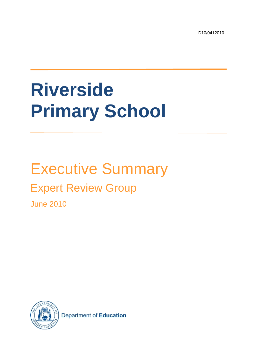D10/0412010

# **Riverside Primary School**

# Executive Summary

# Expert Review Group

June 2010



Department of Education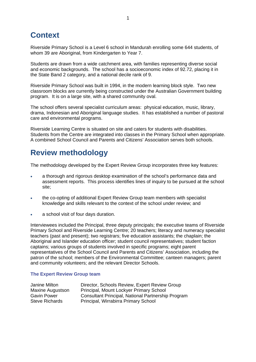## **Context**

Riverside Primary School is a Level 6 school in Mandurah enrolling some 644 students, of whom 39 are Aboriginal, from Kindergarten to Year 7.

Students are drawn from a wide catchment area, with families representing diverse social and economic backgrounds. The school has a socioeconomic index of 92.72, placing it in the State Band 2 category, and a national decile rank of 9.

Riverside Primary School was built in 1994, in the modern learning block style. Two new classroom blocks are currently being constructed under the Australian Government building program. It is on a large site, with a shared community oval.

The school offers several specialist curriculum areas: physical education, music, library, drama, Indonesian and Aboriginal language studies. It has established a number of pastoral care and environmental programs.

Riverside Learning Centre is situated on site and caters for students with disabilities. Students from the Centre are integrated into classes in the Primary School when appropriate. A combined School Council and Parents and Citizens' Association serves both schools.

# **Review methodology**

The methodology developed by the Expert Review Group incorporates three key features:

- a thorough and rigorous desktop examination of the school's performance data and assessment reports. This process identifies lines of inquiry to be pursued at the school site;
- the co-opting of additional Expert Review Group team members with specialist knowledge and skills relevant to the context of the school under review; and
- a school visit of four days duration.

Interviewees included the Principal, three deputy principals; the executive teams of Riverside Primary School and Riverside Learning Centre; 20 teachers; literacy and numeracy specialist teachers (past and present); two registrars; five education assistants; the chaplain; the Aboriginal and Islander education officer; student council representatives; student faction captains; various groups of students involved in specific programs; eight parent representatives of the School Council and Parents and Citizens' Association, including the patron of the school; members of the Environmental Committee; canteen managers; parent and community volunteers; and the relevant Director Schools.

#### **The Expert Review Group team**

| Janine Milton           | Director, Schools Review, Expert Review Group      |
|-------------------------|----------------------------------------------------|
| <b>Maxine Augustson</b> | Principal, Mount Lockyer Primary School            |
| Gavin Power             | Consultant Principal, National Partnership Program |
| <b>Steve Richards</b>   | Principal, Wirrabirra Primary School               |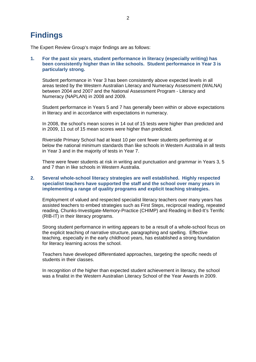### **Findings**

The Expert Review Group's major findings are as follows:

#### **1. For the past six years, student performance in literacy (especially writing) has been consistently higher than in like schools. Student performance in Year 3 is particularly strong.**

Student performance in Year 3 has been consistently above expected levels in all areas tested by the Western Australian Literacy and Numeracy Assessment (WALNA) between 2004 and 2007 and the National Assessment Program - Literacy and Numeracy (NAPLAN) in 2008 and 2009.

Student performance in Years 5 and 7 has generally been within or above expectations in literacy and in accordance with expectations in numeracy.

In 2008, the school's mean scores in 14 out of 15 tests were higher than predicted and in 2009, 11 out of 15 mean scores were higher than predicted.

Riverside Primary School had at least 10 per cent fewer students performing at or below the national minimum standards than like schools in Western Australia in all tests in Year 3 and in the majority of tests in Year 7.

There were fewer students at risk in writing and punctuation and grammar in Years 3, 5 and 7 than in like schools in Western Australia.

#### **2. Several whole-school literacy strategies are well established. Highly respected specialist teachers have supported the staff and the school over many years in implementing a range of quality programs and explicit teaching strategies.**

Employment of valued and respected specialist literacy teachers over many years has assisted teachers to embed strategies such as First Steps, reciprocal reading, repeated reading, Chunks-Investigate-Memory-Practice (CHIMP) and Reading in Bed-It's Terrific (RIB-IT) in their literacy programs.

Strong student performance in writing appears to be a result of a whole-school focus on the explicit teaching of narrative structure, paragraphing and spelling. Effective teaching, especially in the early childhood years, has established a strong foundation for literacy learning across the school.

Teachers have developed differentiated approaches, targeting the specific needs of students in their classes.

In recognition of the higher than expected student achievement in literacy, the school was a finalist in the Western Australian Literacy School of the Year Awards in 2009.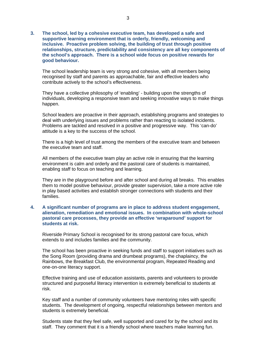**3. The school, led by a cohesive executive team, has developed a safe and supportive learning environment that is orderly, friendly, welcoming and inclusive. Proactive problem solving, the building of trust through positive relationships, structure, predictability and consistency are all key components of the school's approach. There is a school wide focus on positive rewards for good behaviour.** 

The school leadership team is very strong and cohesive, with all members being recognised by staff and parents as approachable, fair and effective leaders who contribute actively to the school's effectiveness.

They have a collective philosophy of 'enabling' - building upon the strengths of individuals, developing a responsive team and seeking innovative ways to make things happen.

School leaders are proactive in their approach, establishing programs and strategies to deal with underlying issues and problems rather than reacting to isolated incidents. Problems are tackled and resolved in a positive and progressive way. This 'can-do' attitude is a key to the success of the school.

There is a high level of trust among the members of the executive team and between the executive team and staff.

All members of the executive team play an active role in ensuring that the learning environment is calm and orderly and the pastoral care of students is maintained, enabling staff to focus on teaching and learning.

They are in the playground before and after school and during all breaks. This enables them to model positive behaviour, provide greater supervision, take a more active role in play based activities and establish stronger connections with students and their families.

#### **4. A significant number of programs are in place to address student engagement, alienation, remediation and emotional issues. In combination with whole-school pastoral care processes, they provide an effective 'wraparound' support for students at risk.**

Riverside Primary School is recognised for its strong pastoral care focus, which extends to and includes families and the community.

The school has been proactive in seeking funds and staff to support initiatives such as the Song Room (providing drama and drumbeat programs), the chaplaincy, the Rainbows, the Breakfast Club, the environmental program, Repeated Reading and one-on-one literacy support.

Effective training and use of education assistants, parents and volunteers to provide structured and purposeful literacy intervention is extremely beneficial to students at risk.

Key staff and a number of community volunteers have mentoring roles with specific students. The development of ongoing, respectful relationships between mentors and students is extremely beneficial.

Students state that they feel safe, well supported and cared for by the school and its staff. They comment that it is a friendly school where teachers make learning fun.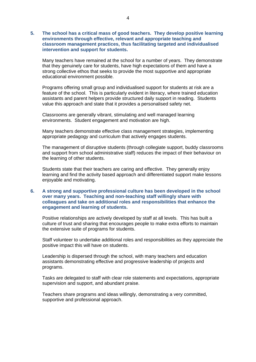**5. The school has a critical mass of good teachers. They develop positive learning environments through effective, relevant and appropriate teaching and classroom management practices, thus facilitating targeted and individualised intervention and support for students.** 

Many teachers have remained at the school for a number of years. They demonstrate that they genuinely care for students, have high expectations of them and have a strong collective ethos that seeks to provide the most supportive and appropriate educational environment possible.

Programs offering small group and individualised support for students at risk are a feature of the school. This is particularly evident in literacy, where trained education assistants and parent helpers provide structured daily support in reading. Students value this approach and state that it provides a personalised safety net.

Classrooms are generally vibrant, stimulating and well managed learning environments. Student engagement and motivation are high.

Many teachers demonstrate effective class management strategies, implementing appropriate pedagogy and curriculum that actively engages students.

The management of disruptive students (through collegiate support, buddy classrooms and support from school administrative staff) reduces the impact of their behaviour on the learning of other students.

Students state that their teachers are caring and effective. They generally enjoy learning and find the activity based approach and differentiated support make lessons enjoyable and motivating.

#### **6. A strong and supportive professional culture has been developed in the school over many years. Teaching and non-teaching staff willingly share with colleagues and take on additional roles and responsibilities that enhance the engagement and learning of students.**

Positive relationships are actively developed by staff at all levels. This has built a culture of trust and sharing that encourages people to make extra efforts to maintain the extensive suite of programs for students.

Staff volunteer to undertake additional roles and responsibilities as they appreciate the positive impact this will have on students.

Leadership is dispersed through the school, with many teachers and education assistants demonstrating effective and progressive leadership of projects and programs.

Tasks are delegated to staff with clear role statements and expectations, appropriate supervision and support, and abundant praise.

Teachers share programs and ideas willingly, demonstrating a very committed, supportive and professional approach.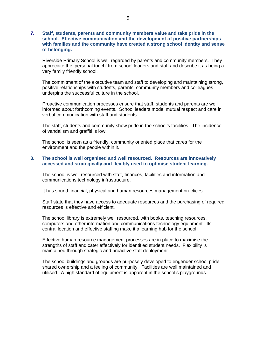#### **7. Staff, students, parents and community members value and take pride in the school. Effective communication and the development of positive partnerships with families and the community have created a strong school identity and sense of belonging.**

Riverside Primary School is well regarded by parents and community members. They appreciate the 'personal touch' from school leaders and staff and describe it as being a very family friendly school.

The commitment of the executive team and staff to developing and maintaining strong, positive relationships with students, parents, community members and colleagues underpins the successful culture in the school.

Proactive communication processes ensure that staff, students and parents are well informed about forthcoming events. School leaders model mutual respect and care in verbal communication with staff and students.

The staff, students and community show pride in the school's facilities. The incidence of vandalism and graffiti is low.

The school is seen as a friendly, community oriented place that cares for the environment and the people within it.

#### **8. The school is well organised and well resourced. Resources are innovatively accessed and strategically and flexibly used to optimise student learning.**

The school is well resourced with staff, finances, facilities and information and communications technology infrastructure.

It has sound financial, physical and human resources management practices.

Staff state that they have access to adequate resources and the purchasing of required resources is effective and efficient.

The school library is extremely well resourced, with books, teaching resources, computers and other information and communications technology equipment. Its central location and effective staffing make it a learning hub for the school.

Effective human resource management processes are in place to maximise the strengths of staff and cater effectively for identified student needs. Flexibility is maintained through strategic and proactive staff deployment.

The school buildings and grounds are purposely developed to engender school pride, shared ownership and a feeling of community. Facilities are well maintained and utilised. A high standard of equipment is apparent in the school's playgrounds.